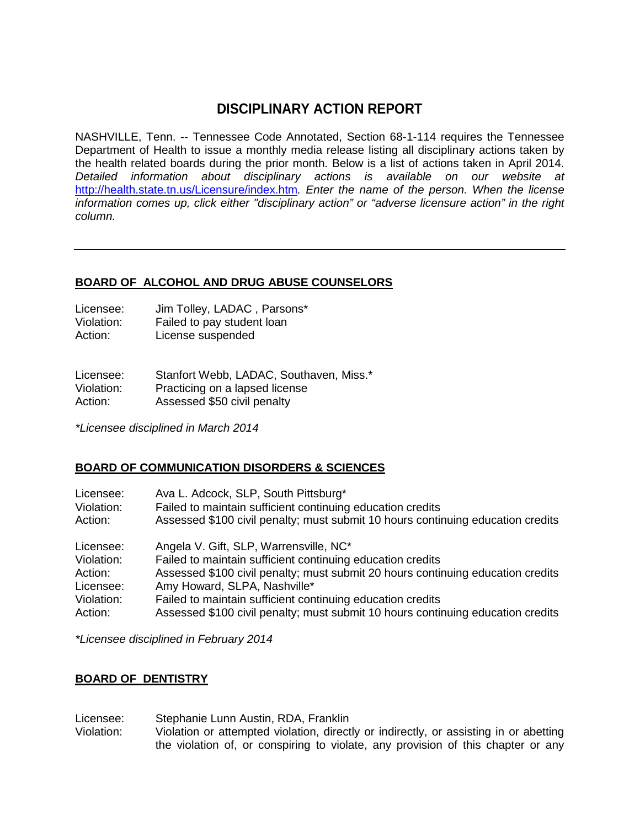# **DISCIPLINARY ACTION REPORT**

NASHVILLE, Tenn. -- Tennessee Code Annotated, Section 68-1-114 requires the Tennessee Department of Health to issue a monthly media release listing all disciplinary actions taken by the health related boards during the prior month. Below is a list of actions taken in April 2014. *Detailed information about disciplinary actions is available on our website at*  <http://health.state.tn.us/Licensure/index.htm>*. Enter the name of the person. When the license information comes up, click either "disciplinary action" or "adverse licensure action" in the right column.*

## **BOARD OF ALCOHOL AND DRUG ABUSE COUNSELORS**

| Licensee:  | Jim Tolley, LADAC, Parsons* |
|------------|-----------------------------|
| Violation: | Failed to pay student loan  |
| Action:    | License suspended           |

Licensee: Stanfort Webb, LADAC, Southaven, Miss.\* Violation: Practicing on a lapsed license Action: Assessed \$50 civil penalty

*\*Licensee disciplined in March 2014* 

# **BOARD OF COMMUNICATION DISORDERS & SCIENCES**

| Licensee:  | Ava L. Adcock, SLP, South Pittsburg*                                            |
|------------|---------------------------------------------------------------------------------|
| Violation: | Failed to maintain sufficient continuing education credits                      |
| Action:    | Assessed \$100 civil penalty; must submit 10 hours continuing education credits |
| Licensee:  | Angela V. Gift, SLP, Warrensville, NC*                                          |
| Violation: | Failed to maintain sufficient continuing education credits                      |
| Action:    | Assessed \$100 civil penalty; must submit 20 hours continuing education credits |
| Licensee:  | Amy Howard, SLPA, Nashville*                                                    |
| Violation: | Failed to maintain sufficient continuing education credits                      |
| Action:    | Assessed \$100 civil penalty; must submit 10 hours continuing education credits |

*\*Licensee disciplined in February 2014*

## **BOARD OF DENTISTRY**

Licensee: Stephanie Lunn Austin, RDA, Franklin

Violation: Violation or attempted violation, directly or indirectly, or assisting in or abetting the violation of, or conspiring to violate, any provision of this chapter or any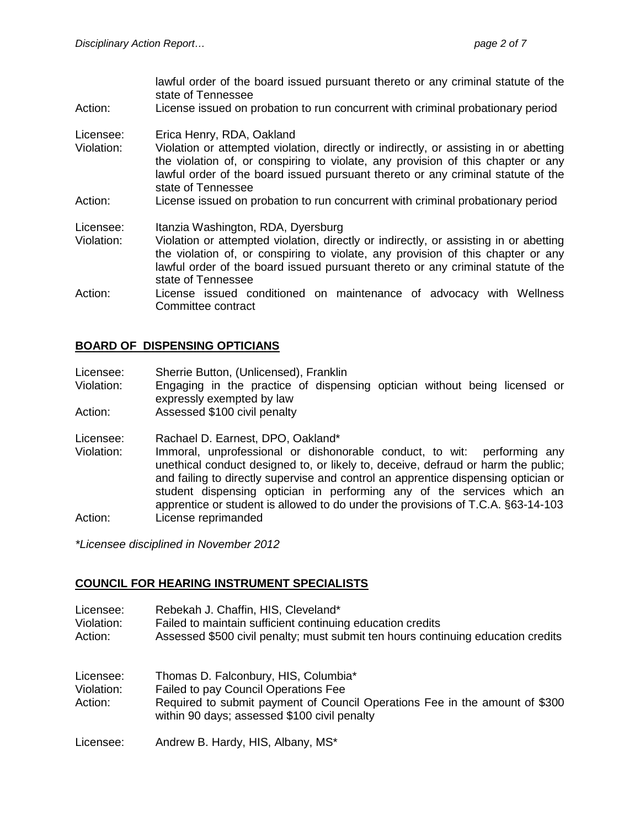lawful order of the board issued pursuant thereto or any criminal statute of the state of Tennessee

Action: License issued on probation to run concurrent with criminal probationary period

#### Licensee: Erica Henry, RDA, Oakland

- Violation: Violation or attempted violation, directly or indirectly, or assisting in or abetting the violation of, or conspiring to violate, any provision of this chapter or any lawful order of the board issued pursuant thereto or any criminal statute of the state of Tennessee
- Action: License issued on probation to run concurrent with criminal probationary period

#### Licensee: Itanzia Washington, RDA, Dyersburg

- Violation: Violation or attempted violation, directly or indirectly, or assisting in or abetting the violation of, or conspiring to violate, any provision of this chapter or any lawful order of the board issued pursuant thereto or any criminal statute of the state of Tennessee
- Action: License issued conditioned on maintenance of advocacy with Wellness Committee contract

#### **BOARD OF DISPENSING OPTICIANS**

- Licensee: Sherrie Button, (Unlicensed), Franklin<br>Violation: Engaging in the practice of dispen
- Engaging in the practice of dispensing optician without being licensed or expressly exempted by law
- Action: Assessed \$100 civil penalty
- Licensee: Rachael D. Earnest, DPO, Oakland\*
- Violation: Immoral, unprofessional or dishonorable conduct, to wit: performing any unethical conduct designed to, or likely to, deceive, defraud or harm the public; and failing to directly supervise and control an apprentice dispensing optician or student dispensing optician in performing any of the services which an apprentice or student is allowed to do under the provisions of T.C.A. §63-14-103 Action: License reprimanded

*\*Licensee disciplined in November 2012*

## **COUNCIL FOR HEARING INSTRUMENT SPECIALISTS**

Licensee: Rebekah J. Chaffin, HIS, Cleveland\* Violation: Failed to maintain sufficient continuing education credits Action: Assessed \$500 civil penalty; must submit ten hours continuing education credits Licensee: Thomas D. Falconbury, HIS, Columbia\*<br>Violation: Failed to pay Council Operations Fee Violation: Failed to pay Council Operations Fee<br>Action: Required to submit payment of Coun Required to submit payment of Council Operations Fee in the amount of \$300 within 90 days; assessed \$100 civil penalty Licensee: Andrew B. Hardy, HIS, Albany, MS\*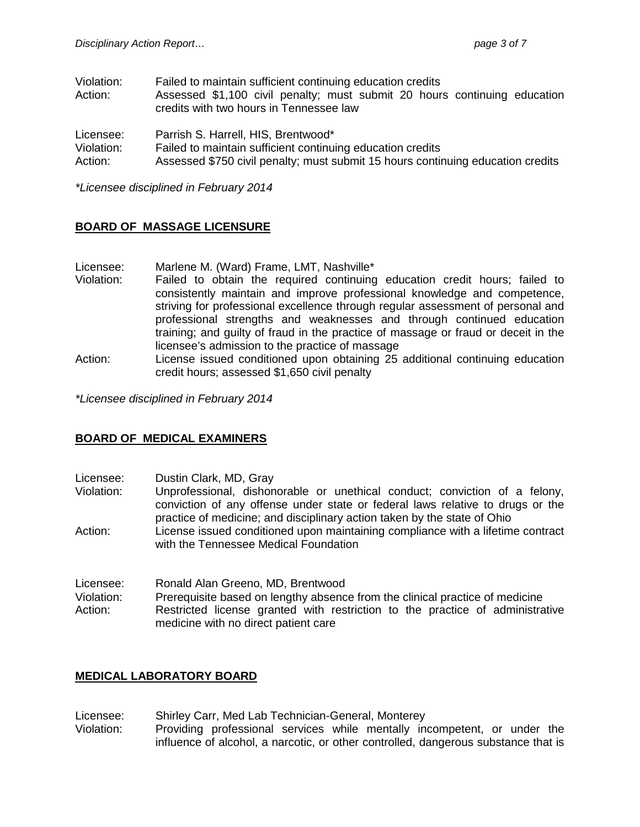| Violation: | Failed to maintain sufficient continuing education credits                      |  |  |  |  |
|------------|---------------------------------------------------------------------------------|--|--|--|--|
| Action:    | Assessed \$1,100 civil penalty; must submit 20 hours continuing education       |  |  |  |  |
|            | credits with two hours in Tennessee law                                         |  |  |  |  |
| Licensee:  | Parrish S. Harrell, HIS, Brentwood*                                             |  |  |  |  |
| Violation: | Failed to maintain sufficient continuing education credits                      |  |  |  |  |
| Action:    | Assessed \$750 civil penalty; must submit 15 hours continuing education credits |  |  |  |  |

*\*Licensee disciplined in February 2014*

# **BOARD OF MASSAGE LICENSURE**

- Licensee: Marlene M. (Ward) Frame, LMT, Nashville\*
- Violation: Failed to obtain the required continuing education credit hours; failed to consistently maintain and improve professional knowledge and competence, striving for professional excellence through regular assessment of personal and professional strengths and weaknesses and through continued education training; and guilty of fraud in the practice of massage or fraud or deceit in the licensee's admission to the practice of massage
- Action: License issued conditioned upon obtaining 25 additional continuing education credit hours; assessed \$1,650 civil penalty

*\*Licensee disciplined in February 2014*

## **BOARD OF MEDICAL EXAMINERS**

- Licensee: Dustin Clark, MD, Gray
- Unprofessional, dishonorable or unethical conduct; conviction of a felony, conviction of any offense under state or federal laws relative to drugs or the practice of medicine; and disciplinary action taken by the state of Ohio
- Action: License issued conditioned upon maintaining compliance with a lifetime contract with the Tennessee Medical Foundation
- Licensee: Ronald Alan Greeno, MD, Brentwood
- Violation: Prerequisite based on lengthy absence from the clinical practice of medicine
- Action: Restricted license granted with restriction to the practice of administrative medicine with no direct patient care

## **MEDICAL LABORATORY BOARD**

- Licensee: Shirley Carr, Med Lab Technician-General, Monterey
- Violation: Providing professional services while mentally incompetent, or under the influence of alcohol, a narcotic, or other controlled, dangerous substance that is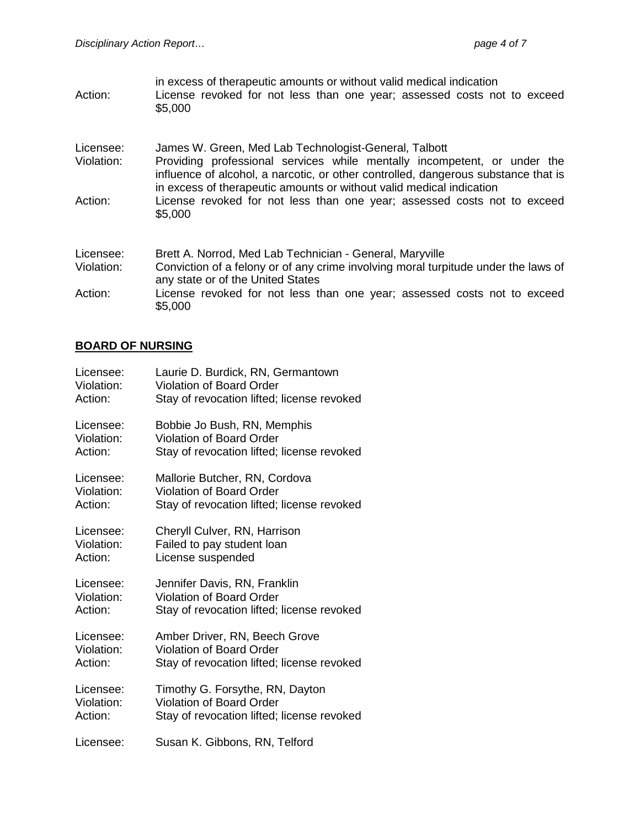in excess of therapeutic amounts or without valid medical indication Action: License revoked for not less than one year; assessed costs not to exceed \$5,000

Licensee: James W. Green, Med Lab Technologist-General, Talbott<br>Violation: Providing professional services while mentally incomp

- Providing professional services while mentally incompetent, or under the influence of alcohol, a narcotic, or other controlled, dangerous substance that is in excess of therapeutic amounts or without valid medical indication
- Action: License revoked for not less than one year; assessed costs not to exceed \$5,000

| Licensee:  | Brett A. Norrod, Med Lab Technician - General, Maryville                                                                |
|------------|-------------------------------------------------------------------------------------------------------------------------|
| Violation: | Conviction of a felony or of any crime involving moral turpitude under the laws of<br>any state or of the United States |
| Action:    | License revoked for not less than one year; assessed costs not to exceed<br>\$5,000                                     |

#### **BOARD OF NURSING**

| Licensee:  | Laurie D. Burdick, RN, Germantown          |
|------------|--------------------------------------------|
| Violation: | <b>Violation of Board Order</b>            |
| Action:    | Stay of revocation lifted; license revoked |
| Licensee:  | Bobbie Jo Bush, RN, Memphis                |
| Violation: | <b>Violation of Board Order</b>            |
| Action:    | Stay of revocation lifted; license revoked |
| Licensee:  | Mallorie Butcher, RN, Cordova              |
| Violation: | <b>Violation of Board Order</b>            |
| Action:    | Stay of revocation lifted; license revoked |
| Licensee:  | Cheryll Culver, RN, Harrison               |
| Violation: | Failed to pay student loan                 |
| Action:    | License suspended                          |
| Licensee:  | Jennifer Davis, RN, Franklin               |
| Violation: | <b>Violation of Board Order</b>            |
| Action:    | Stay of revocation lifted; license revoked |
| Licensee:  | Amber Driver, RN, Beech Grove              |
| Violation: | <b>Violation of Board Order</b>            |
| Action:    | Stay of revocation lifted; license revoked |
| Licensee:  | Timothy G. Forsythe, RN, Dayton            |
| Violation: | <b>Violation of Board Order</b>            |
| Action:    | Stay of revocation lifted; license revoked |
| Licensee:  | Susan K. Gibbons, RN, Telford              |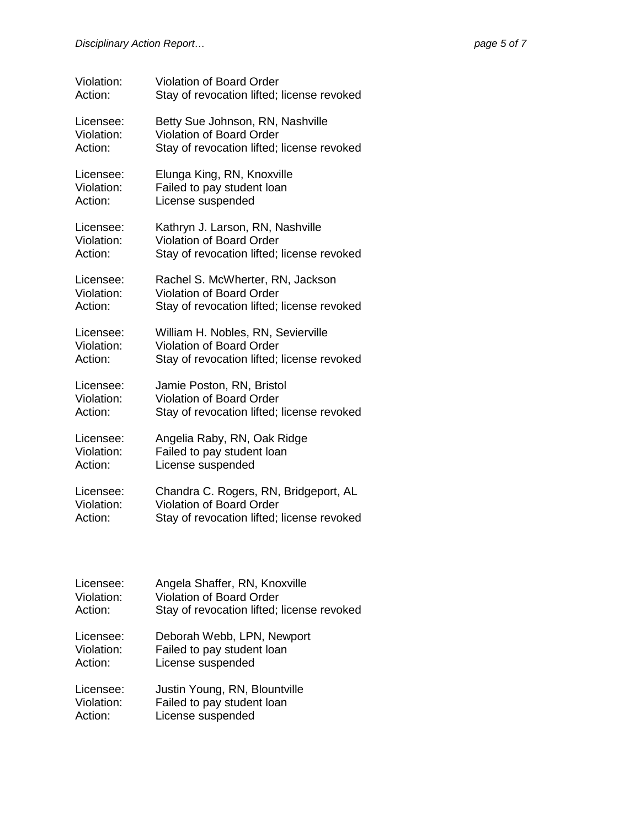| Violation: | <b>Violation of Board Order</b>            |
|------------|--------------------------------------------|
| Action:    | Stay of revocation lifted; license revoked |
| Licensee:  | Betty Sue Johnson, RN, Nashville           |
| Violation: | Violation of Board Order                   |
| Action:    | Stay of revocation lifted; license revoked |
| Licensee:  | Elunga King, RN, Knoxville                 |
| Violation: | Failed to pay student loan                 |
| Action:    | License suspended                          |
| Licensee:  | Kathryn J. Larson, RN, Nashville           |
| Violation: | Violation of Board Order                   |
| Action:    | Stay of revocation lifted; license revoked |
| Licensee:  | Rachel S. McWherter, RN, Jackson           |
| Violation: | <b>Violation of Board Order</b>            |
| Action:    | Stay of revocation lifted; license revoked |
| Licensee:  | William H. Nobles, RN, Sevierville         |
| Violation: | <b>Violation of Board Order</b>            |
| Action:    | Stay of revocation lifted; license revoked |
| Licensee:  | Jamie Poston, RN, Bristol                  |
| Violation: | <b>Violation of Board Order</b>            |
| Action:    | Stay of revocation lifted; license revoked |
| Licensee:  | Angelia Raby, RN, Oak Ridge                |
| Violation: | Failed to pay student loan                 |
| Action:    | License suspended                          |
| Licensee:  | Chandra C. Rogers, RN, Bridgeport, AL      |
| Violation: | Violation of Board Order                   |
| Action:    | Stay of revocation lifted; license revoked |
| Licensee:  | Angela Shaffer, RN, Knoxville              |
| Violation: | <b>Violation of Board Order</b>            |

| Action: | Stay of revocation lifted; license revoked |  |  |
|---------|--------------------------------------------|--|--|
|         |                                            |  |  |

Licensee: Deborah Webb, LPN, Newport<br>Violation: Failed to pay student loan Violation: Failed to pay student loan<br>Action: License suspended License suspended

Licensee: Justin Young, RN, Blountville<br>Violation: Failed to pay student loan Violation: Failed to pay student loan<br>Action: License suspended License suspended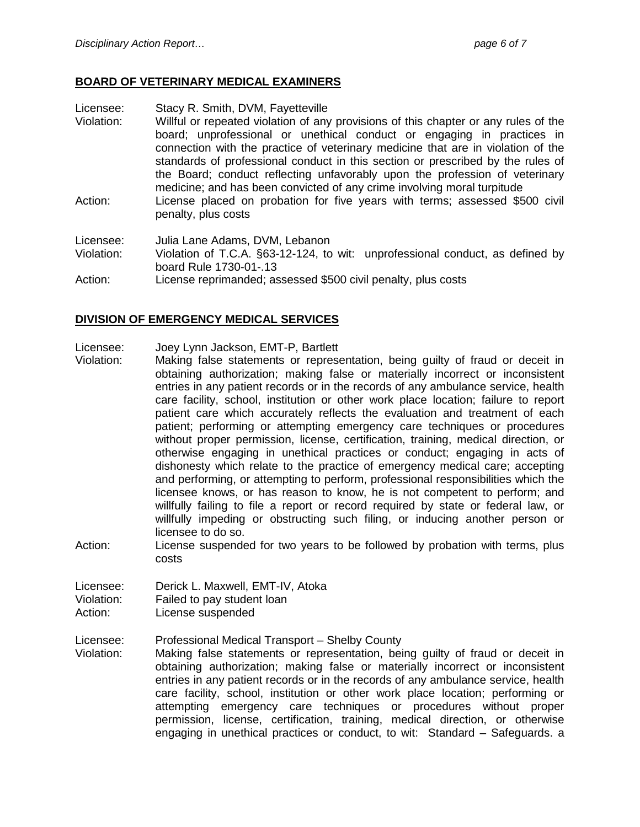# **BOARD OF VETERINARY MEDICAL EXAMINERS**

Licensee: Stacy R. Smith, DVM, Fayetteville

- Violation: Willful or repeated violation of any provisions of this chapter or any rules of the board; unprofessional or unethical conduct or engaging in practices in connection with the practice of veterinary medicine that are in violation of the standards of professional conduct in this section or prescribed by the rules of the Board; conduct reflecting unfavorably upon the profession of veterinary medicine; and has been convicted of any crime involving moral turpitude
- Action: License placed on probation for five years with terms; assessed \$500 civil penalty, plus costs

Licensee: Julia Lane Adams, DVM, Lebanon

Violation: Violation of T.C.A. §63-12-124, to wit: unprofessional conduct, as defined by board Rule 1730-01-.13

Action: License reprimanded; assessed \$500 civil penalty, plus costs

#### **DIVISION OF EMERGENCY MEDICAL SERVICES**

Licensee: Joey Lynn Jackson, EMT-P, Bartlett

- Violation: Making false statements or representation, being guilty of fraud or deceit in obtaining authorization; making false or materially incorrect or inconsistent entries in any patient records or in the records of any ambulance service, health care facility, school, institution or other work place location; failure to report patient care which accurately reflects the evaluation and treatment of each patient; performing or attempting emergency care techniques or procedures without proper permission, license, certification, training, medical direction, or otherwise engaging in unethical practices or conduct; engaging in acts of dishonesty which relate to the practice of emergency medical care; accepting and performing, or attempting to perform, professional responsibilities which the licensee knows, or has reason to know, he is not competent to perform; and willfully failing to file a report or record required by state or federal law, or willfully impeding or obstructing such filing, or inducing another person or licensee to do so.
- Action: License suspended for two years to be followed by probation with terms, plus costs

Licensee: Derick L. Maxwell, EMT-IV, Atoka<br>Violation: Failed to pay student loan

Failed to pay student loan

Action: License suspended

Licensee: Professional Medical Transport – Shelby County

Violation: Making false statements or representation, being guilty of fraud or deceit in obtaining authorization; making false or materially incorrect or inconsistent entries in any patient records or in the records of any ambulance service, health care facility, school, institution or other work place location; performing or attempting emergency care techniques or procedures without proper permission, license, certification, training, medical direction, or otherwise engaging in unethical practices or conduct, to wit: Standard – Safeguards. a